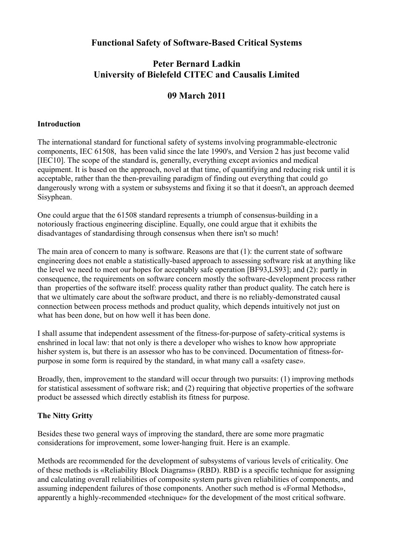## **Functional Safety of Software-Based Critical Systems**

# **Peter Bernard Ladkin University of Bielefeld CITEC and Causalis Limited**

# **09 March 2011**

### **Introduction**

The international standard for functional safety of systems involving programmable-electronic components, IEC 61508, has been valid since the late 1990's, and Version 2 has just become valid [IEC10]. The scope of the standard is, generally, everything except avionics and medical equipment. It is based on the approach, novel at that time, of quantifying and reducing risk until it is acceptable, rather than the then-prevailing paradigm of finding out everything that could go dangerously wrong with a system or subsystems and fixing it so that it doesn't, an approach deemed Sisyphean.

One could argue that the 61508 standard represents a triumph of consensus-building in a notoriously fractious engineering discipline. Equally, one could argue that it exhibits the disadvantages of standardising through consensus when there isn't so much!

The main area of concern to many is software. Reasons are that (1): the current state of software engineering does not enable a statistically-based approach to assessing software risk at anything like the level we need to meet our hopes for acceptably safe operation [BF93,LS93]; and (2): partly in consequence, the requirements on software concern mostly the software-development process rather than properties of the software itself: process quality rather than product quality. The catch here is that we ultimately care about the software product, and there is no reliably-demonstrated causal connection between process methods and product quality, which depends intuitively not just on what has been done, but on how well it has been done.

I shall assume that independent assessment of the fitness-for-purpose of safety-critical systems is enshrined in local law: that not only is there a developer who wishes to know how appropriate hisher system is, but there is an assessor who has to be convinced. Documentation of fitness-forpurpose in some form is required by the standard, in what many call a «safety case».

Broadly, then, improvement to the standard will occur through two pursuits: (1) improving methods for statistical assessment of software risk; and (2) requiring that objective properties of the software product be assessed which directly establish its fitness for purpose.

## **The Nitty Gritty**

Besides these two general ways of improving the standard, there are some more pragmatic considerations for improvement, some lower-hanging fruit. Here is an example.

Methods are recommended for the development of subsystems of various levels of criticality. One of these methods is «Reliability Block Diagrams» (RBD). RBD is a specific technique for assigning and calculating overall reliabilities of composite system parts given reliabilities of components, and assuming independent failures of those components. Another such method is «Formal Methods», apparently a highly-recommended «technique» for the development of the most critical software.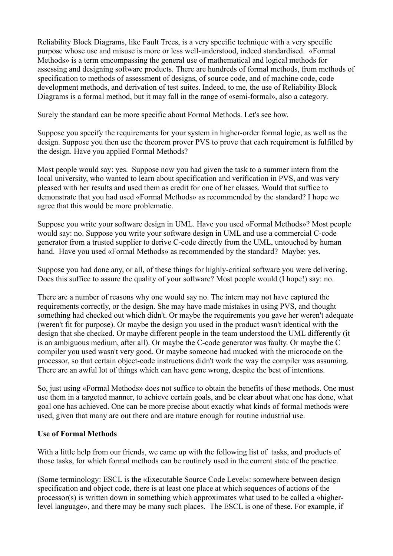Reliability Block Diagrams, like Fault Trees, is a very specific technique with a very specific purpose whose use and misuse is more or less well-understood, indeed standardised. «Formal Methods» is a term emcompassing the general use of mathematical and logical methods for assessing and designing software products. There are hundreds of formal methods, from methods of specification to methods of assessment of designs, of source code, and of machine code, code development methods, and derivation of test suites. Indeed, to me, the use of Reliability Block Diagrams is a formal method, but it may fall in the range of «semi-formal», also a category.

Surely the standard can be more specific about Formal Methods. Let's see how.

Suppose you specify the requirements for your system in higher-order formal logic, as well as the design. Suppose you then use the theorem prover PVS to prove that each requirement is fulfilled by the design. Have you applied Formal Methods?

Most people would say: yes. Suppose now you had given the task to a summer intern from the local university, who wanted to learn about specification and verification in PVS, and was very pleased with her results and used them as credit for one of her classes. Would that suffice to demonstrate that you had used «Formal Methods» as recommended by the standard? I hope we agree that this would be more problematic.

Suppose you write your software design in UML. Have you used «Formal Methods»? Most people would say: no. Suppose you write your software design in UML and use a commercial C-code generator from a trusted supplier to derive C-code directly from the UML, untouched by human hand. Have you used «Formal Methods» as recommended by the standard? Maybe: yes.

Suppose you had done any, or all, of these things for highly-critical software you were delivering. Does this suffice to assure the quality of your software? Most people would (I hope!) say: no.

There are a number of reasons why one would say no. The intern may not have captured the requirements correctly, or the design. She may have made mistakes in using PVS, and thought something had checked out which didn't. Or maybe the requirements you gave her weren't adequate (weren't fit for purpose). Or maybe the design you used in the product wasn't identical with the design that she checked. Or maybe different people in the team understood the UML differently (it is an ambiguous medium, after all). Or maybe the C-code generator was faulty. Or maybe the C compiler you used wasn't very good. Or maybe someone had mucked with the microcode on the processor, so that certain object-code instructions didn't work the way the compiler was assuming. There are an awful lot of things which can have gone wrong, despite the best of intentions.

So, just using «Formal Methods» does not suffice to obtain the benefits of these methods. One must use them in a targeted manner, to achieve certain goals, and be clear about what one has done, what goal one has achieved. One can be more precise about exactly what kinds of formal methods were used, given that many are out there and are mature enough for routine industrial use.

### **Use of Formal Methods**

With a little help from our friends, we came up with the following list of tasks, and products of those tasks, for which formal methods can be routinely used in the current state of the practice.

(Some terminology: ESCL is the «Executable Source Code Level»: somewhere between design specification and object code, there is at least one place at which sequences of actions of the processor(s) is written down in something which approximates what used to be called a «higherlevel language», and there may be many such places. The ESCL is one of these. For example, if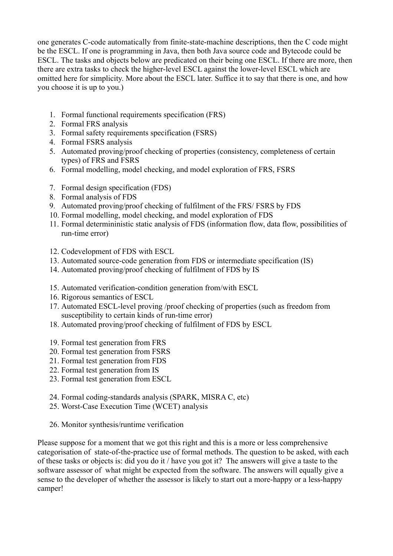one generates C-code automatically from finite-state-machine descriptions, then the C code might be the ESCL. If one is programming in Java, then both Java source code and Bytecode could be ESCL. The tasks and objects below are predicated on their being one ESCL. If there are more, then there are extra tasks to check the higher-level ESCL against the lower-level ESCL which are omitted here for simplicity. More about the ESCL later. Suffice it to say that there is one, and how you choose it is up to you.)

- 1. Formal functional requirements specification (FRS)
- 2. Formal FRS analysis
- 3. Formal safety requirements specification (FSRS)
- 4. Formal FSRS analysis
- 5. Automated proving/proof checking of properties (consistency, completeness of certain types) of FRS and FSRS
- 6. Formal modelling, model checking, and model exploration of FRS, FSRS
- 7. Formal design specification (FDS)
- 8. Formal analysis of FDS
- 9. Automated proving/proof checking of fulfilment of the FRS/ FSRS by FDS
- 10. Formal modelling, model checking, and model exploration of FDS
- 11. Formal determininistic static analysis of FDS (information flow, data flow, possibilities of run-time error)
- 12. Codevelopment of FDS with ESCL
- 13. Automated source-code generation from FDS or intermediate specification (IS)
- 14. Automated proving/proof checking of fulfilment of FDS by IS
- 15. Automated verification-condition generation from/with ESCL
- 16. Rigorous semantics of ESCL
- 17. Automated ESCL-level proving /proof checking of properties (such as freedom from susceptibility to certain kinds of run-time error)
- 18. Automated proving/proof checking of fulfilment of FDS by ESCL
- 19. Formal test generation from FRS
- 20. Formal test generation from FSRS
- 21. Formal test generation from FDS
- 22. Formal test generation from IS
- 23. Formal test generation from ESCL
- 24. Formal coding-standards analysis (SPARK, MISRA C, etc)
- 25. Worst-Case Execution Time (WCET) analysis
- 26. Monitor synthesis/runtime verification

Please suppose for a moment that we got this right and this is a more or less comprehensive categorisation of state-of-the-practice use of formal methods. The question to be asked, with each of these tasks or objects is: did you do it / have you got it? The answers will give a taste to the software assessor of what might be expected from the software. The answers will equally give a sense to the developer of whether the assessor is likely to start out a more-happy or a less-happy camper!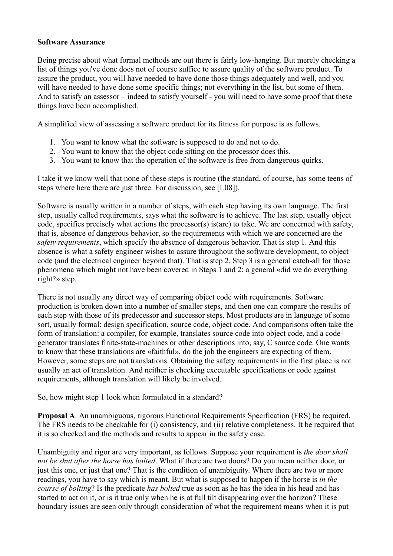#### **Software Assurance**

Being precise about what formal methods are out there is fairly low-hanging. But merely checking a list of things you've done does not of course suffice to assure quality of the software product. To assure the product, you will have needed to have done those things adequately and well, and you will have needed to have done some specific things; not everything in the list, but some of them. And to satisfy an assessor – indeed to satisfy yourself - you will need to have some proof that these things have been accomplished.

A simplified view of assessing a software product for its fitness for purpose is as follows.

- 1. You want to know what the software is supposed to do and not to do.
- 2. You want to know that the object code sitting on the processor does this.
- 3. You want to know that the operation of the software is free from dangerous quirks.

I take it we know well that none of these steps is routine (the standard, of course, has some teens of steps where here there are just three. For discussion, see [L08]).

Software is usually written in a number of steps, with each step having its own language. The first step, usually called requirements, says what the software is to achieve. The last step, usually object code, specifies precisely what actions the processor(s) is(are) to take. We are concerned with safety, that is, absence of dangerous behavior, so the requirements with which we are concerned are the *safety requirements*, which specify the absence of dangerous behavior. That is step 1. And this absence is what a safety engineer wishes to assure throughout the software development, to object code (and the electrical engineer beyond that). That is step 2. Step 3 is a general catch-all for those phenomena which might not have been covered in Steps 1 and 2: a general «did we do everything right?» step.

There is not usually any direct way of comparing object code with requirements. Software production is broken down into a number of smaller steps, and then one can compare the results of each step with those of its predecessor and successor steps. Most products are in language of some sort, usually formal: design specification, source code, object code. And comparisons often take the form of translation: a compiler, for example, translates source code into object code, and a codegenerator translates finite-state-machines or other descriptions into, say, C source code. One wants to know that these translations are «faithful», do the job the engineers are expecting of them. However, some steps are not translations. Obtaining the safety requirements in the first place is not usually an act of translation. And neither is checking executable specifications or code against requirements, although translation will likely be involved.

So, how might step 1 look when formulated in a standard?

**Proposal A**. An unambiguous, rigorous Functional Requirements Specification (FRS) be required. The FRS needs to be checkable for (i) consistency, and (ii) relative completeness. It be required that it is so checked and the methods and results to appear in the safety case.

Unambiguity and rigor are very important, as follows. Suppose your requirement is *the door shall not be shut after the horse has bolted*. What if there are two doors? Do you mean neither door, or just this one, or just that one? That is the condition of unambiguity. Where there are two or more readings, you have to say which is meant. But what is supposed to happen if the horse is *in the course of bolting*? Is the predicate *has bolted* true as soon as he has the idea in his head and has started to act on it, or is it true only when he is at full tilt disappearing over the horizon? These boundary issues are seen only through consideration of what the requirement means when it is put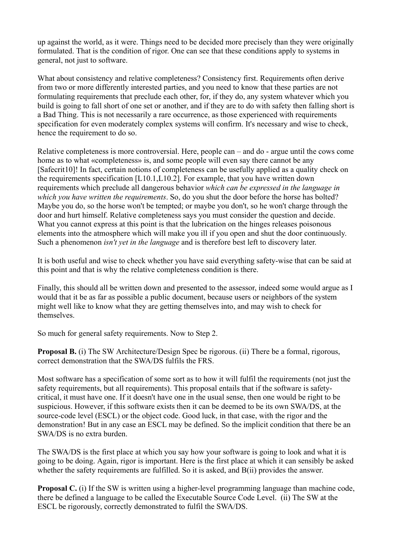up against the world, as it were. Things need to be decided more precisely than they were originally formulated. That is the condition of rigor. One can see that these conditions apply to systems in general, not just to software.

What about consistency and relative completeness? Consistency first. Requirements often derive from two or more differently interested parties, and you need to know that these parties are not formulating requirements that preclude each other, for, if they do, any system whatever which you build is going to fall short of one set or another, and if they are to do with safety then falling short is a Bad Thing. This is not necessarily a rare occurrence, as those experienced with requirements specification for even moderately complex systems will confirm. It's necessary and wise to check, hence the requirement to do so.

Relative completeness is more controversial. Here, people can – and do - argue until the cows come home as to what «completeness» is, and some people will even say there cannot be any [Safecrit10]! In fact, certain notions of completeness can be usefully applied as a quality check on the requirements specification [L10.1,L10.2]. For example, that you have written down requirements which preclude all dangerous behavior *which can be expressed in the language in which you have written the requirements*. So, do you shut the door before the horse has bolted? Maybe you do, so the horse won't be tempted; or maybe you don't, so he won't charge through the door and hurt himself. Relative completeness says you must consider the question and decide. What you cannot express at this point is that the lubrication on the hinges releases poisonous elements into the atmosphere which will make you ill if you open and shut the door continuously. Such a phenomenon *isn't yet in the language* and is therefore best left to discovery later.

It is both useful and wise to check whether you have said everything safety-wise that can be said at this point and that is why the relative completeness condition is there.

Finally, this should all be written down and presented to the assessor, indeed some would argue as I would that it be as far as possible a public document, because users or neighbors of the system might well like to know what they are getting themselves into, and may wish to check for themselves.

So much for general safety requirements. Now to Step 2.

**Proposal B.** (i) The SW Architecture/Design Spec be rigorous. (ii) There be a formal, rigorous, correct demonstration that the SWA/DS fulfils the FRS.

Most software has a specification of some sort as to how it will fulfil the requirements (not just the safety requirements, but all requirements). This proposal entails that if the software is safetycritical, it must have one. If it doesn't have one in the usual sense, then one would be right to be suspicious. However, if this software exists then it can be deemed to be its own SWA/DS, at the source-code level (ESCL) or the object code. Good luck, in that case, with the rigor and the demonstration! But in any case an ESCL may be defined. So the implicit condition that there be an SWA/DS is no extra burden.

The SWA/DS is the first place at which you say how your software is going to look and what it is going to be doing. Again, rigor is important. Here is the first place at which it can sensibly be asked whether the safety requirements are fulfilled. So it is asked, and B(ii) provides the answer.

**Proposal C.** (i) If the SW is written using a higher-level programming language than machine code, there be defined a language to be called the Executable Source Code Level. (ii) The SW at the ESCL be rigorously, correctly demonstrated to fulfil the SWA/DS.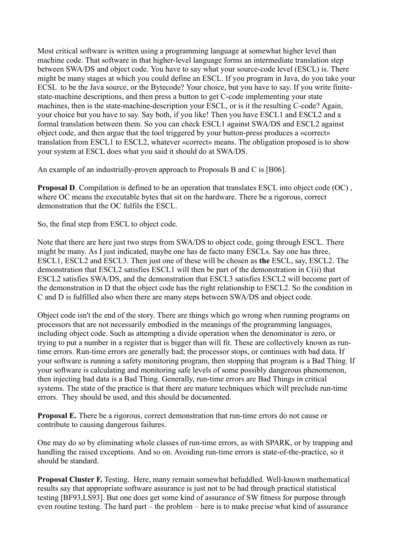Most critical software is written using a programming language at somewhat higher level than machine code. That software in that higher-level language forms an intermediate translation step between SWA/DS and object code. You have to say what your source-code level (ESCL) is. There might be many stages at which you could define an ESCL. If you program in Java, do you take your ECSL to be the Java source, or the Bytecode? Your choice, but you have to say. If you write finitestate-machine descriptions, and then press a button to get C-code implementing your state machines, then is the state-machine-description your ESCL, or is it the resulting C-code? Again, your choice but you have to say. Say both, if you like! Then you have ESCL1 and ESCL2 and a formal translation between them. So you can check ESCL1 against SWA/DS and ESCL2 against object code, and then argue that the tool triggered by your button-press produces a «correct» translation from ESCL1 to ESCL2, whatever «correct» means. The obligation proposed is to show your system at ESCL does what you said it should do at SWA/DS.

An example of an industrially-proven approach to Proposals B and C is [B06].

**Proposal D.** Compilation is defined to be an operation that translates ESCL into object code (OC), where OC means the executable bytes that sit on the hardware. There be a rigorous, correct demonstration that the OC fulfils the ESCL.

So, the final step from ESCL to object code.

Note that there are here just two steps from SWA/DS to object code, going through ESCL. There might be many. As I just indicated, maybe one has de facto many ESCLs. Say one has three, ESCL1, ESCL2 and ESCL3. Then just one of these will be chosen as **the** ESCL, say, ESCL2. The demonstration that ESCL2 satisfies ESCL1 will then be part of the demonstration in C(ii) that ESCL2 satisfies SWA/DS, and the demonstration that ESCL3 satisfies ESCL2 will become part of the demonstration in D that the object code has the right relationship to ESCL2. So the condition in C and D is fulfilled also when there are many steps between SWA/DS and object code.

Object code isn't the end of the story. There are things which go wrong when running programs on processors that are not necessarily embodied in the meanings of the programming languages, including object code. Such as attempting a divide operation when the denominator is zero, or trying to put a number in a register that is bigger than will fit. These are collectively known as runtime errors. Run-time errors are generally bad; the processor stops, or continues with bad data. If your software is running a safety monitoring program, then stopping that program is a Bad Thing. If your software is calculating and monitoring safe levels of some possibly dangerous phenomenon, then injecting bad data is a Bad Thing. Generally, run-time errors are Bad Things in critical systems. The state of the practice is that there are mature techniques which will preclude run-time errors. They should be used, and this should be documented.

**Proposal E.** There be a rigorous, correct demonstration that run-time errors do not cause or contribute to causing dangerous failures.

One may do so by eliminating whole classes of run-time errors, as with SPARK, or by trapping and handling the raised exceptions. And so on. Avoiding run-time errors is state-of-the-practice, so it should be standard.

**Proposal Cluster F.** Testing. Here, many remain somewhat befuddled. Well-known mathematical results say that appropriate software assurance is just not to be had through practical statistical testing [BF93,LS93]. But one does get some kind of assurance of SW fitness for purpose through even routine testing. The hard part – the problem – here is to make precise what kind of assurance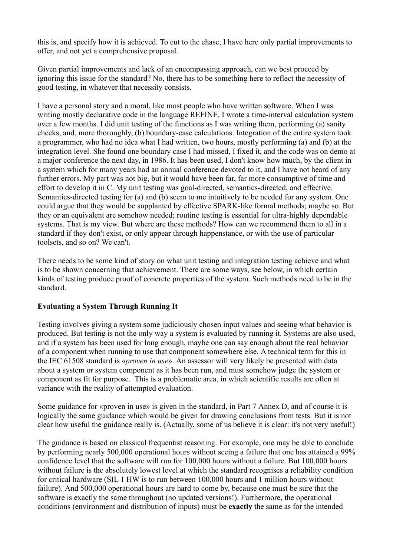this is, and specify how it is achieved. To cut to the chase, I have here only partial improvements to offer, and not yet a comprehensive proposal.

Given partial improvements and lack of an encompassing approach, can we best proceed by ignoring this issue for the standard? No, there has to be something here to reflect the necessity of good testing, in whatever that necessity consists.

I have a personal story and a moral, like most people who have written software. When I was writing mostly declarative code in the language REFINE, I wrote a time-interval calculation system over a few months. I did unit testing of the functions as I was writing them, performing (a) sanity checks, and, more thoroughly, (b) boundary-case calculations. Integration of the entire system took a programmer, who had no idea what I had written, two hours, mostly performing (a) and (b) at the integration level. She found one boundary case I had missed, I fixed it, and the code was on demo at a major conference the next day, in 1986. It has been used, I don't know how much, by the client in a system which for many years had an annual conference devoted to it, and I have not heard of any further errors. My part was not big, but it would have been far, far more consumptive of time and effort to develop it in C. My unit testing was goal-directed, semantics-directed, and effective. Semantics-directed testing for (a) and (b) seem to me intuitively to be needed for any system. One could argue that they would be supplanted by effective SPARK-like formal methods; maybe so. But they or an equivalent are somehow needed; routine testing is essential for ultra-highly dependable systems. That is my view. But where are these methods? How can we recommend them to all in a standard if they don't exist, or only appear through happenstance, or with the use of particular toolsets, and so on? We can't.

There needs to be some kind of story on what unit testing and integration testing achieve and what is to be shown concerning that achievement. There are some ways, see below, in which certain kinds of testing produce proof of concrete properties of the system. Such methods need to be in the standard.

## **Evaluating a System Through Running It**

Testing involves giving a system some judiciously chosen input values and seeing what behavior is produced. But testing is not the only way a system is evaluated by running it. Systems are also used, and if a system has been used for long enough, maybe one can say enough about the real behavior of a component when running to use that component somewhere else. A technical term for this in the IEC 61508 standard is «*proven in use*». An assessor will very likely be presented with data about a system or system component as it has been run, and must somehow judge the system or component as fit for purpose. This is a problematic area, in which scientific results are often at variance with the reality of attempted evaluation.

Some guidance for «proven in use» is given in the standard, in Part 7 Annex D, and of course it is logically the same guidance which would be given for drawing conclusions from tests. But it is not clear how useful the guidance really is. (Actually, some of us believe it is clear: it's not very useful!)

The guidance is based on classical frequentist reasoning. For example, one may be able to conclude by performing nearly 500,000 operational hours without seeing a failure that one has attained a 99% confidence level that the software will run for 100,000 hours without a failure. But 100,000 hours without failure is the absolutely lowest level at which the standard recognises a reliability condition for critical hardware (SIL 1 HW is to run between 100,000 hours and 1 million hours without failure). And 500,000 operational hours are hard to come by, because one must be sure that the software is exactly the same throughout (no updated versions!). Furthermore, the operational conditions (environment and distribution of inputs) must be **exactly** the same as for the intended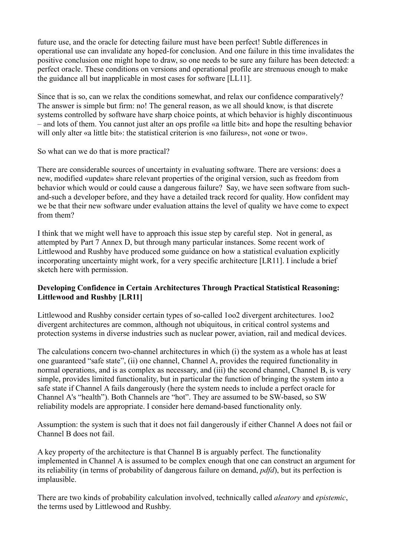future use, and the oracle for detecting failure must have been perfect! Subtle differences in operational use can invalidate any hoped-for conclusion. And one failure in this time invalidates the positive conclusion one might hope to draw, so one needs to be sure any failure has been detected: a perfect oracle. These conditions on versions and operational profile are strenuous enough to make the guidance all but inapplicable in most cases for software [LL11].

Since that is so, can we relax the conditions somewhat, and relax our confidence comparatively? The answer is simple but firm: no! The general reason, as we all should know, is that discrete systems controlled by software have sharp choice points, at which behavior is highly discontinuous – and lots of them. You cannot just alter an ops profile «a little bit» and hope the resulting behavior will only alter «a little bit»: the statistical criterion is «no failures», not «one or two».

So what can we do that is more practical?

There are considerable sources of uncertainty in evaluating software. There are versions: does a new, modified «update» share relevant properties of the original version, such as freedom from behavior which would or could cause a dangerous failure? Say, we have seen software from suchand-such a developer before, and they have a detailed track record for quality. How confident may we be that their new software under evaluation attains the level of quality we have come to expect from them?

I think that we might well have to approach this issue step by careful step. Not in general, as attempted by Part 7 Annex D, but through many particular instances. Some recent work of Littlewood and Rushby have produced some guidance on how a statistical evaluation explicitly incorporating uncertainty might work, for a very specific architecture [LR11]. I include a brief sketch here with permission.

### **Developing Confidence in Certain Architectures Through Practical Statistical Reasoning: Littlewood and Rushby [LR11]**

Littlewood and Rushby consider certain types of so-called 1oo2 divergent architectures. 1oo2 divergent architectures are common, although not ubiquitous, in critical control systems and protection systems in diverse industries such as nuclear power, aviation, rail and medical devices.

The calculations concern two-channel architectures in which (i) the system as a whole has at least one guaranteed "safe state", (ii) one channel, Channel A, provides the required functionality in normal operations, and is as complex as necessary, and (iii) the second channel, Channel B, is very simple, provides limited functionality, but in particular the function of bringing the system into a safe state if Channel A fails dangerously (here the system needs to include a perfect oracle for Channel A's "health"). Both Channels are "hot". They are assumed to be SW-based, so SW reliability models are appropriate. I consider here demand-based functionality only.

Assumption: the system is such that it does not fail dangerously if either Channel A does not fail or Channel B does not fail.

A key property of the architecture is that Channel B is arguably perfect. The functionality implemented in Channel A is assumed to be complex enough that one can construct an argument for its reliability (in terms of probability of dangerous failure on demand, *pdfd*), but its perfection is implausible.

There are two kinds of probability calculation involved, technically called *aleatory* and *epistemic*, the terms used by Littlewood and Rushby.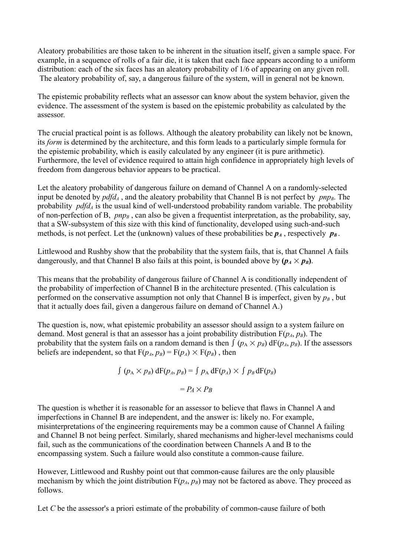Aleatory probabilities are those taken to be inherent in the situation itself, given a sample space. For example, in a sequence of rolls of a fair die, it is taken that each face appears according to a uniform distribution: each of the six faces has an aleatory probability of 1/6 of appearing on any given roll. The aleatory probability of, say, a dangerous failure of the system, will in general not be known.

The epistemic probability reflects what an assessor can know about the system behavior, given the evidence. The assessment of the system is based on the epistemic probability as calculated by the assessor.

The crucial practical point is as follows. Although the aleatory probability can likely not be known, its *form* is determined by the architecture, and this form leads to a particularly simple formula for the epistemic probability, which is easily calculated by any engineer (it is pure arithmetic). Furthermore, the level of evidence required to attain high confidence in appropriately high levels of freedom from dangerous behavior appears to be practical.

Let the aleatory probability of dangerous failure on demand of Channel A on a randomly-selected input be denoted by  $pdfd<sub>A</sub>$ , and the aleatory probability that Channel B is not perfect by  $pnp<sub>B</sub>$ . The probability *pdfd<sup>A</sup>* is the usual kind of well-understood probability random variable. The probability of non-perfection of B,  $pnp<sub>B</sub>$ , can also be given a frequentist interpretation, as the probability, say, that a SW-subsystem of this size with this kind of functionality, developed using such-and-such methods, is not perfect. Let the (unknown) values of these probabilities be  $p_A$ , respectively  $p_B$ .

Littlewood and Rushby show that the probability that the system fails, that is, that Channel A fails dangerously, and that Channel B also fails at this point, is bounded above by  $(p_A \times p_B)$ .

This means that the probability of dangerous failure of Channel A is conditionally independent of the probability of imperfection of Channel B in the architecture presented. (This calculation is performed on the conservative assumption not only that Channel B is imperfect, given by  $p_B$ , but that it actually does fail, given a dangerous failure on demand of Channel A.)

The question is, now, what epistemic probability an assessor should assign to a system failure on demand. Most general is that an assessor has a joint probability distribution  $F(p_A, p_B)$ . The probability that the system fails on a random demand is then  $\int (p_A \times p_B) dF(p_A, p_B)$ . If the assessors beliefs are independent, so that  $F(p_A, p_B) = F(p_A) \times F(p_B)$ , then

$$
\int (p_A \times p_B) dF(p_A, p_B) = \int p_A dF(p_A) \times \int p_B dF(p_B)
$$

$$
= P_A \times P_B
$$

The question is whether it is reasonable for an assessor to believe that flaws in Channel A and imperfections in Channel B are independent, and the answer is: likely no. For example, misinterpretations of the engineering requirements may be a common cause of Channel A failing and Channel B not being perfect. Similarly, shared mechanisms and higher-level mechanisms could fail, such as the communications of the coordination between Channels A and B to the encompassing system. Such a failure would also constitute a common-cause failure.

However, Littlewood and Rushby point out that common-cause failures are the only plausible mechanism by which the joint distribution  $F(p_A, p_B)$  may not be factored as above. They proceed as follows.

Let *C* be the assessor's a priori estimate of the probability of common-cause failure of both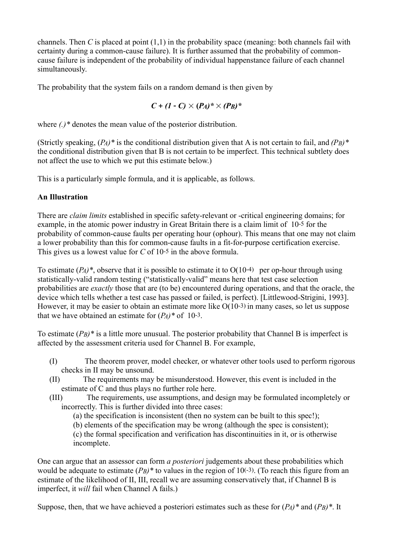channels. Then *C* is placed at point (1,1) in the probability space (meaning: both channels fail with certainty during a common-cause failure). It is further assumed that the probability of commoncause failure is independent of the probability of individual happenstance failure of each channel simultaneously.

The probability that the system fails on a random demand is then given by

$$
C+(1-C)\times (P_A)^*\times (P_B)^*
$$

where *(.)\** denotes the mean value of the posterior distribution.

(Strictly speaking,  $(P_A)^*$  is the conditional distribution given that A is not certain to fail, and  $(P_B)^*$ the conditional distribution given that B is not certain to be imperfect. This technical subtlety does not affect the use to which we put this estimate below.)

This is a particularly simple formula, and it is applicable, as follows.

### **An Illustration**

There are *claim limits* established in specific safety-relevant or -critical engineering domains; for example, in the atomic power industry in Great Britain there is a claim limit of 10-5 for the probability of common-cause faults per operating hour (ophour). This means that one may not claim a lower probability than this for common-cause faults in a fit-for-purpose certification exercise. This gives us a lowest value for *C* of 10-5 in the above formula.

To estimate  $(P_A)^*$ , observe that it is possible to estimate it to  $O(10^{-4})$  per op-hour through using statistically-valid random testing ("statistically-valid" means here that test case selection probabilities are *exactly* those that are (to be) encountered during operations, and that the oracle, the device which tells whether a test case has passed or failed, is perfect). [Littlewood-Strigini, 1993]. However, it may be easier to obtain an estimate more like O(10-3) in many cases, so let us suppose that we have obtained an estimate for  $(P_A)^*$  of 10-3.

To estimate (*PB)\** is a little more unusual. The posterior probability that Channel B is imperfect is affected by the assessment criteria used for Channel B. For example,

- (I) The theorem prover, model checker, or whatever other tools used to perform rigorous checks in II may be unsound.
- (II) The requirements may be misunderstood. However, this event is included in the estimate of C and thus plays no further role here.
- (III) The requirements, use assumptions, and design may be formulated incompletely or incorrectly. This is further divided into three cases:

(a) the specification is inconsistent (then no system can be built to this spec!);

(b) elements of the specification may be wrong (although the spec is consistent);

(c) the formal specification and verification has discontinuities in it, or is otherwise incomplete.

One can argue that an assessor can form *a posteriori* judgements about these probabilities which would be adequate to estimate  $(P_B)^*$  to values in the region of 10(-3). (To reach this figure from an estimate of the likelihood of II, III, recall we are assuming conservatively that, if Channel B is imperfect, it *will* fail when Channel A fails.)

Suppose, then, that we have achieved a posteriori estimates such as these for  $(P_A)^*$  and  $(P_B)^*$ . It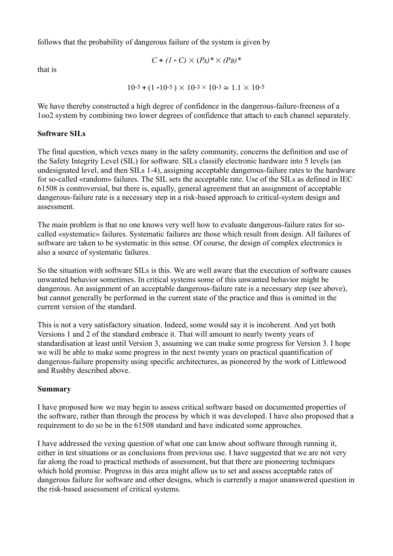follows that the probability of dangerous failure of the system is given by

$$
C + (1 - C) \times (P_A)^* \times (P_B)^*
$$

that is

$$
10^{-5} + (1 - 10^{-5}) \times 10^{-3} \times 10^{-3} \approx 1.1 \times 10^{-5}
$$

We have thereby constructed a high degree of confidence in the dangerous-failure-freeness of a 1oo2 system by combining two lower degrees of confidence that attach to each channel separately.

### **Software SILs**

The final question, which vexes many in the safety community, concerns the definition and use of the Safety Integrity Level (SIL) for software. SILs classify electronic hardware into 5 levels (an undesignated level, and then SILs 1-4), assigning acceptable dangerous-failure rates to the hardware for so-called «random» failures. The SIL sets the acceptable rate. Use of the SILs as defined in IEC 61508 is controversial, but there is, equally, general agreement that an assignment of acceptable dangerous-failure rate is a necessary step in a risk-based approach to critical-system design and assessment.

The main problem is that no one knows very well how to evaluate dangerous-failure rates for socalled «systematic» failures. Systematic failures are those which result from design. All failures of software are taken to be systematic in this sense. Of course, the design of complex electronics is also a source of systematic failures.

So the situation with software SILs is this. We are well aware that the execution of software causes unwanted behavior sometimes. In critical systems some of this unwanted behavior might be dangerous. An assignment of an acceptable dangerous-failure rate is a necessary step (see above), but cannot generally be performed in the current state of the practice and thus is omitted in the current version of the standard.

This is not a very satisfactory situation. Indeed, some would say it is incoherent. And yet both Versions 1 and 2 of the standard embrace it. That will amount to nearly twenty years of standardisation at least until Version 3, assuming we can make some progress for Version 3. I hope we will be able to make some progress in the next twenty years on practical quantification of dangerous-failure propensity using specific architectures, as pioneered by the work of Littlewood and Rushby described above.

### **Summary**

I have proposed how we may begin to assess critical software based on documented properties of the software, rather than through the process by which it was developed. I have also proposed that a requirement to do so be in the 61508 standard and have indicated some approaches.

I have addressed the vexing question of what one can know about software through running it, either in test situations or as conclusions from previous use. I have suggested that we are not very far along the road to practical methods of assessment, but that there are pioneering techniques which hold promise. Progress in this area might allow us to set and assess acceptable rates of dangerous failure for software and other designs, which is currently a major unanswered question in the risk-based assessment of critical systems.